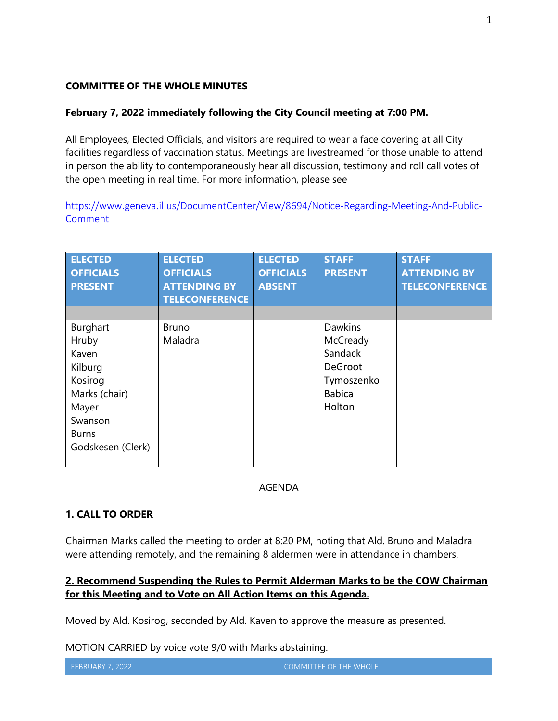#### **COMMITTEE OF THE WHOLE MINUTES**

#### **February 7, 2022 immediately following the City Council meeting at 7:00 PM.**

All Employees, Elected Officials, and visitors are required to wear a face covering at all City facilities regardless of vaccination status. Meetings are livestreamed for those unable to attend in person the ability to contemporaneously hear all discussion, testimony and roll call votes of the open meeting in real time. For more information, please see

[https://www.geneva.il.us/DocumentCenter/View/8694/Notice-Regarding-Meeting-And-Public-](https://www.geneva.il.us/DocumentCenter/View/8694/Notice-Regarding-Meeting-And-Public-Comment)[Comment](https://www.geneva.il.us/DocumentCenter/View/8694/Notice-Regarding-Meeting-And-Public-Comment)

| <b>ELECTED</b><br><b>OFFICIALS</b><br><b>PRESENT</b>                                                                       | <b>ELECTED</b><br><b>OFFICIALS</b><br><b>ATTENDING BY</b><br><b>TELECONFERENCE</b> | <b>ELECTED</b><br><b>OFFICIALS</b><br><b>ABSENT</b> | <b>STAFF</b><br><b>PRESENT</b>                                                            | <b>STAFF</b><br><b>ATTENDING BY</b><br><b>TELECONFERENCE</b> |
|----------------------------------------------------------------------------------------------------------------------------|------------------------------------------------------------------------------------|-----------------------------------------------------|-------------------------------------------------------------------------------------------|--------------------------------------------------------------|
| Burghart<br>Hruby<br>Kaven<br>Kilburg<br>Kosirog<br>Marks (chair)<br>Mayer<br>Swanson<br><b>Burns</b><br>Godskesen (Clerk) | <b>Bruno</b><br>Maladra                                                            |                                                     | <b>Dawkins</b><br>McCready<br>Sandack<br>DeGroot<br>Tymoszenko<br><b>Babica</b><br>Holton |                                                              |

#### AGENDA

## **1. CALL TO ORDER**

Chairman Marks called the meeting to order at 8:20 PM, noting that Ald. Bruno and Maladra were attending remotely, and the remaining 8 aldermen were in attendance in chambers.

## **2. Recommend Suspending the Rules to Permit Alderman Marks to be the COW Chairman for this Meeting and to Vote on All Action Items on this Agenda.**

Moved by Ald. Kosirog, seconded by Ald. Kaven to approve the measure as presented.

MOTION CARRIED by voice vote 9/0 with Marks abstaining.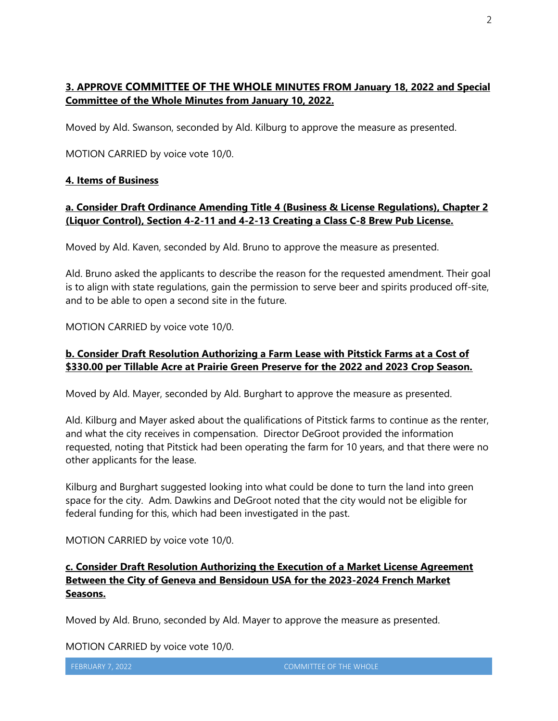# **3. APPROVE COMMITTEE OF THE WHOLE MINUTES FROM January 18, 2022 and Special Committee of the Whole Minutes from January 10, 2022.**

Moved by Ald. Swanson, seconded by Ald. Kilburg to approve the measure as presented.

MOTION CARRIED by voice vote 10/0.

## **4. Items of Business**

## **a. Consider Draft Ordinance Amending Title 4 (Business & License Regulations), Chapter 2 (Liquor Control), Section 4-2-11 and 4-2-13 Creating a Class C-8 Brew Pub License.**

Moved by Ald. Kaven, seconded by Ald. Bruno to approve the measure as presented.

Ald. Bruno asked the applicants to describe the reason for the requested amendment. Their goal is to align with state regulations, gain the permission to serve beer and spirits produced off-site, and to be able to open a second site in the future.

MOTION CARRIED by voice vote 10/0.

## **b. Consider Draft Resolution Authorizing a Farm Lease with Pitstick Farms at a Cost of \$330.00 per Tillable Acre at Prairie Green Preserve for the 2022 and 2023 Crop Season.**

Moved by Ald. Mayer, seconded by Ald. Burghart to approve the measure as presented.

Ald. Kilburg and Mayer asked about the qualifications of Pitstick farms to continue as the renter, and what the city receives in compensation. Director DeGroot provided the information requested, noting that Pitstick had been operating the farm for 10 years, and that there were no other applicants for the lease.

Kilburg and Burghart suggested looking into what could be done to turn the land into green space for the city. Adm. Dawkins and DeGroot noted that the city would not be eligible for federal funding for this, which had been investigated in the past.

MOTION CARRIED by voice vote 10/0.

# **c. Consider Draft Resolution Authorizing the Execution of a Market License Agreement Between the City of Geneva and Bensidoun USA for the 2023-2024 French Market Seasons.**

Moved by Ald. Bruno, seconded by Ald. Mayer to approve the measure as presented.

MOTION CARRIED by voice vote 10/0.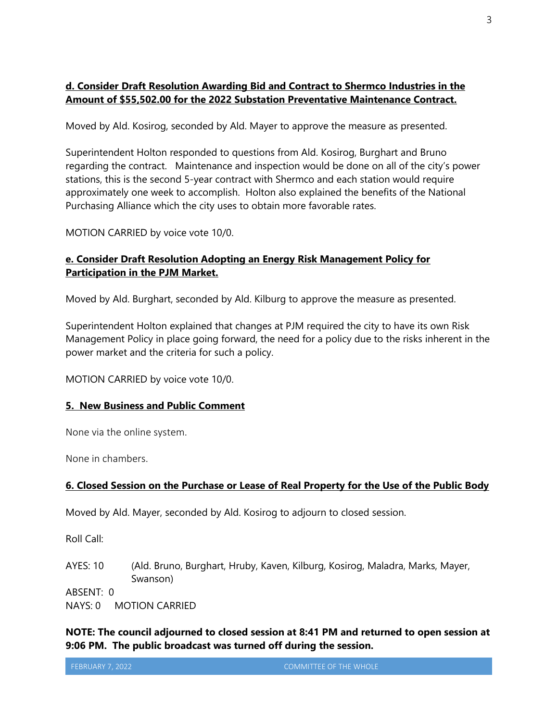## **d. Consider Draft Resolution Awarding Bid and Contract to Shermco Industries in the Amount of \$55,502.00 for the 2022 Substation Preventative Maintenance Contract.**

Moved by Ald. Kosirog, seconded by Ald. Mayer to approve the measure as presented.

Superintendent Holton responded to questions from Ald. Kosirog, Burghart and Bruno regarding the contract. Maintenance and inspection would be done on all of the city's power stations, this is the second 5-year contract with Shermco and each station would require approximately one week to accomplish. Holton also explained the benefits of the National Purchasing Alliance which the city uses to obtain more favorable rates.

MOTION CARRIED by voice vote 10/0.

#### **e. Consider Draft Resolution Adopting an Energy Risk Management Policy for Participation in the PJM Market.**

Moved by Ald. Burghart, seconded by Ald. Kilburg to approve the measure as presented.

Superintendent Holton explained that changes at PJM required the city to have its own Risk Management Policy in place going forward, the need for a policy due to the risks inherent in the power market and the criteria for such a policy.

MOTION CARRIED by voice vote 10/0.

#### **5. New Business and Public Comment**

None via the online system.

None in chambers.

#### **6. Closed Session on the Purchase or Lease of Real Property for the Use of the Public Body**

Moved by Ald. Mayer, seconded by Ald. Kosirog to adjourn to closed session.

Roll Call:

AYES: 10 (Ald. Bruno, Burghart, Hruby, Kaven, Kilburg, Kosirog, Maladra, Marks, Mayer, Swanson)

ABSENT: 0

NAYS: 0 MOTION CARRIED

**NOTE: The council adjourned to closed session at 8:41 PM and returned to open session at 9:06 PM. The public broadcast was turned off during the session.**